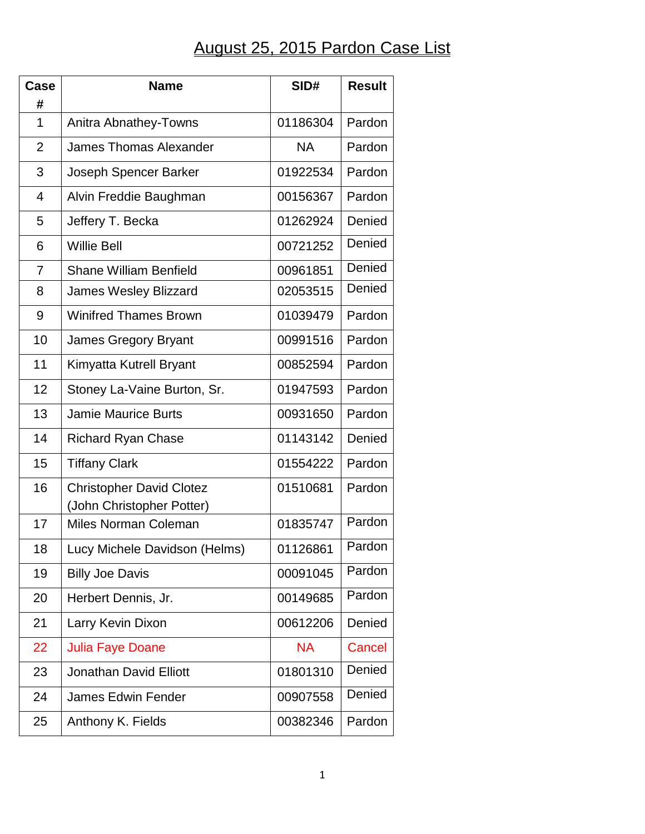## August 25, 2015 Pardon Case List

| Case           | <b>Name</b>                                                  | SID#      | <b>Result</b> |
|----------------|--------------------------------------------------------------|-----------|---------------|
| #              |                                                              |           |               |
| 1              | <b>Anitra Abnathey-Towns</b>                                 | 01186304  | Pardon        |
| $\overline{2}$ | <b>James Thomas Alexander</b>                                | <b>NA</b> | Pardon        |
| 3              | Joseph Spencer Barker                                        | 01922534  | Pardon        |
| $\overline{4}$ | Alvin Freddie Baughman                                       | 00156367  | Pardon        |
| 5              | Jeffery T. Becka                                             | 01262924  | Denied        |
| 6              | <b>Willie Bell</b>                                           | 00721252  | Denied        |
| $\overline{7}$ | <b>Shane William Benfield</b>                                | 00961851  | Denied        |
| 8              | James Wesley Blizzard                                        | 02053515  | Denied        |
| 9              | <b>Winifred Thames Brown</b>                                 | 01039479  | Pardon        |
| 10             | <b>James Gregory Bryant</b>                                  | 00991516  | Pardon        |
| 11             | Kimyatta Kutrell Bryant                                      | 00852594  | Pardon        |
| 12             | Stoney La-Vaine Burton, Sr.                                  | 01947593  | Pardon        |
| 13             | <b>Jamie Maurice Burts</b>                                   | 00931650  | Pardon        |
| 14             | <b>Richard Ryan Chase</b>                                    | 01143142  | Denied        |
| 15             | <b>Tiffany Clark</b>                                         | 01554222  | Pardon        |
| 16             | <b>Christopher David Clotez</b><br>(John Christopher Potter) | 01510681  | Pardon        |
| 17             | Miles Norman Coleman                                         | 01835747  | Pardon        |
| 18             | Lucy Michele Davidson (Helms)                                | 01126861  | Pardon        |
| 19             | <b>Billy Joe Davis</b>                                       | 00091045  | Pardon        |
| 20             | Herbert Dennis, Jr.                                          | 00149685  | Pardon        |
| 21             | Larry Kevin Dixon                                            | 00612206  | Denied        |
| 22             | <b>Julia Faye Doane</b>                                      | <b>NA</b> | Cancel        |
| 23             | <b>Jonathan David Elliott</b>                                | 01801310  | Denied        |
| 24             | <b>James Edwin Fender</b>                                    | 00907558  | Denied        |
| 25             | Anthony K. Fields                                            | 00382346  | Pardon        |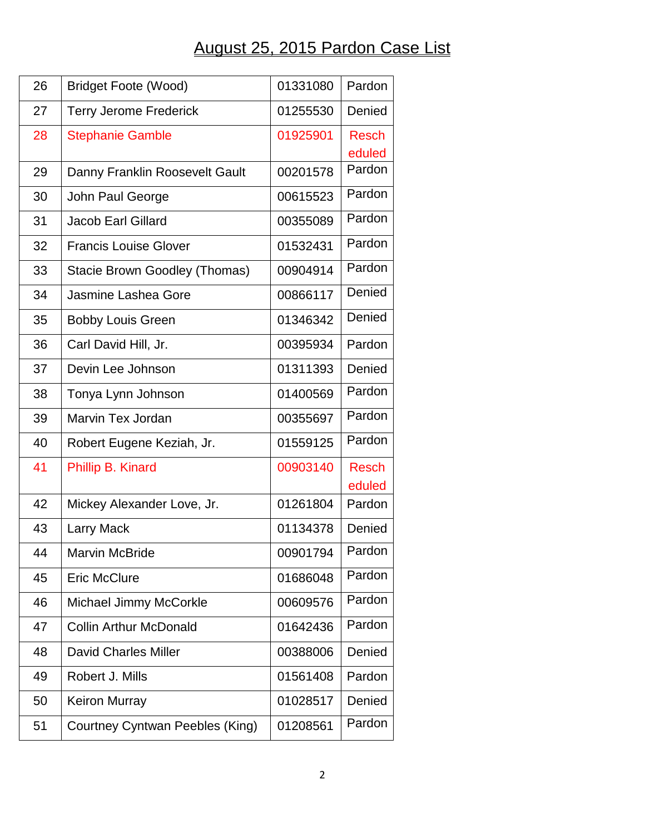## August 25, 2015 Pardon Case List

| 26 | <b>Bridget Foote (Wood)</b>     | 01331080 | Pardon       |
|----|---------------------------------|----------|--------------|
| 27 | <b>Terry Jerome Frederick</b>   | 01255530 | Denied       |
| 28 | <b>Stephanie Gamble</b>         | 01925901 | <b>Resch</b> |
|    |                                 |          | eduled       |
| 29 | Danny Franklin Roosevelt Gault  | 00201578 | Pardon       |
| 30 | John Paul George                | 00615523 | Pardon       |
| 31 | <b>Jacob Earl Gillard</b>       | 00355089 | Pardon       |
| 32 | <b>Francis Louise Glover</b>    | 01532431 | Pardon       |
| 33 | Stacie Brown Goodley (Thomas)   | 00904914 | Pardon       |
| 34 | Jasmine Lashea Gore             | 00866117 | Denied       |
| 35 | <b>Bobby Louis Green</b>        | 01346342 | Denied       |
| 36 | Carl David Hill, Jr.            | 00395934 | Pardon       |
| 37 | Devin Lee Johnson               | 01311393 | Denied       |
| 38 | Tonya Lynn Johnson              | 01400569 | Pardon       |
| 39 | Marvin Tex Jordan               | 00355697 | Pardon       |
| 40 | Robert Eugene Keziah, Jr.       | 01559125 | Pardon       |
| 41 | Phillip B. Kinard               | 00903140 | <b>Resch</b> |
|    |                                 |          | eduled       |
| 42 | Mickey Alexander Love, Jr.      | 01261804 | Pardon       |
| 43 | <b>Larry Mack</b>               | 01134378 | Denied       |
| 44 | <b>Marvin McBride</b>           | 00901794 | Pardon       |
| 45 | <b>Eric McClure</b>             | 01686048 | Pardon       |
| 46 | <b>Michael Jimmy McCorkle</b>   | 00609576 | Pardon       |
| 47 | <b>Collin Arthur McDonald</b>   | 01642436 | Pardon       |
| 48 | <b>David Charles Miller</b>     | 00388006 | Denied       |
| 49 | Robert J. Mills                 | 01561408 | Pardon       |
| 50 | <b>Keiron Murray</b>            | 01028517 | Denied       |
| 51 | Courtney Cyntwan Peebles (King) | 01208561 | Pardon       |